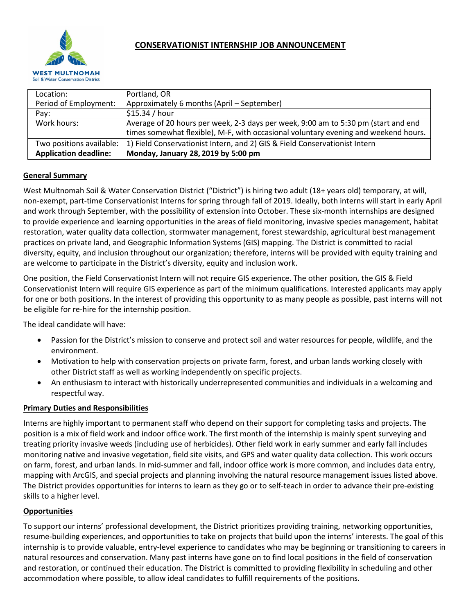

| Location:                    | Portland, OR                                                                        |
|------------------------------|-------------------------------------------------------------------------------------|
| Period of Employment:        | Approximately 6 months (April – September)                                          |
| Pay:                         | \$15.34 / hour                                                                      |
| Work hours:                  | Average of 20 hours per week, 2-3 days per week, 9:00 am to 5:30 pm (start and end  |
|                              | times somewhat flexible), M-F, with occasional voluntary evening and weekend hours. |
| Two positions available:     | 1) Field Conservationist Intern, and 2) GIS & Field Conservationist Intern          |
| <b>Application deadline:</b> | Monday, January 28, 2019 by 5:00 pm                                                 |

# **General Summary**

West Multnomah Soil & Water Conservation District ("District") is hiring two adult (18+ years old) temporary, at will, non-exempt, part-time Conservationist Interns for spring through fall of 2019. Ideally, both interns will start in early April and work through September, with the possibility of extension into October. These six-month internships are designed to provide experience and learning opportunities in the areas of field monitoring, invasive species management, habitat restoration, water quality data collection, stormwater management, forest stewardship, agricultural best management practices on private land, and Geographic Information Systems (GIS) mapping. The District is committed to racial diversity, equity, and inclusion throughout our organization; therefore, interns will be provided with equity training and are welcome to participate in the District's diversity, equity and inclusion work.

One position, the Field Conservationist Intern will not require GIS experience. The other position, the GIS & Field Conservationist Intern will require GIS experience as part of the minimum qualifications. Interested applicants may apply for one or both positions. In the interest of providing this opportunity to as many people as possible, past interns will not be eligible for re-hire for the internship position.

The ideal candidate will have:

- Passion for the District's mission to conserve and protect soil and water resources for people, wildlife, and the environment.
- Motivation to help with conservation projects on private farm, forest, and urban lands working closely with other District staff as well as working independently on specific projects.
- An enthusiasm to interact with historically underrepresented communities and individuals in a welcoming and respectful way.

## **Primary Duties and Responsibilities**

Interns are highly important to permanent staff who depend on their support for completing tasks and projects. The position is a mix of field work and indoor office work. The first month of the internship is mainly spent surveying and treating priority invasive weeds (including use of herbicides). Other field work in early summer and early fall includes monitoring native and invasive vegetation, field site visits, and GPS and water quality data collection. This work occurs on farm, forest, and urban lands. In mid-summer and fall, indoor office work is more common, and includes data entry, mapping with ArcGIS, and special projects and planning involving the natural resource management issues listed above. The District provides opportunities for interns to learn as they go or to self-teach in order to advance their pre-existing skills to a higher level.

## **Opportunities**

To support our interns' professional development, the District prioritizes providing training, networking opportunities, resume-building experiences, and opportunities to take on projects that build upon the interns' interests. The goal of this internship is to provide valuable, entry-level experience to candidates who may be beginning or transitioning to careers in natural resources and conservation. Many past interns have gone on to find local positions in the field of conservation and restoration, or continued their education. The District is committed to providing flexibility in scheduling and other accommodation where possible, to allow ideal candidates to fulfill requirements of the positions.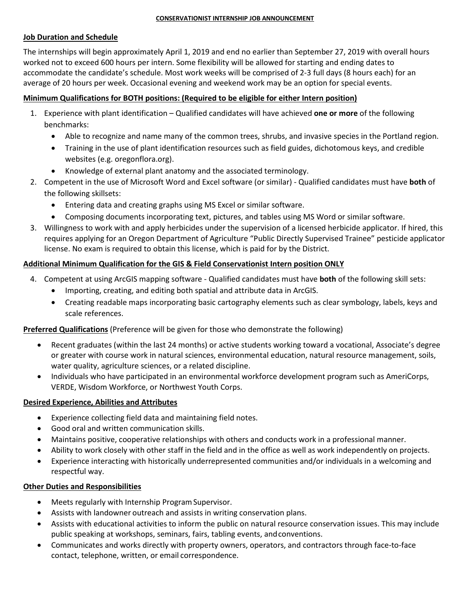#### **CONSERVATIONIST INTERNSHIP JOB ANNOUNCEMENT**

## **Job Duration and Schedule**

The internships will begin approximately April 1, 2019 and end no earlier than September 27, 2019 with overall hours worked not to exceed 600 hours per intern. Some flexibility will be allowed for starting and ending dates to accommodate the candidate's schedule. Most work weeks will be comprised of 2-3 full days (8 hours each) for an average of 20 hours per week. Occasional evening and weekend work may be an option for special events.

# **Minimum Qualifications for BOTH positions: (Required to be eligible for either Intern position)**

- 1. Experience with plant identification Qualified candidates will have achieved **one or more** of the following benchmarks:
	- Able to recognize and name many of the common trees, shrubs, and invasive species in the Portland region.
	- Training in the use of plant identification resources such as field guides, dichotomous keys, and credible websites (e.g. oregonflora.org).
	- Knowledge of external plant anatomy and the associated terminology.
- 2. Competent in the use of Microsoft Word and Excel software (or similar) Qualified candidates must have **both** of the following skillsets:
	- Entering data and creating graphs using MS Excel or similar software.
	- Composing documents incorporating text, pictures, and tables using MS Word or similar software.
- 3. Willingness to work with and apply herbicides under the supervision of a licensed herbicide applicator. If hired, this requires applying for an Oregon Department of Agriculture "Public Directly Supervised Trainee" pesticide applicator license. No exam is required to obtain this license, which is paid for by the District.

# **Additional Minimum Qualification for the GIS & Field Conservationist Intern position ONLY**

- 4. Competent at using ArcGIS mapping software Qualified candidates must have **both** of the following skill sets:
	- Importing, creating, and editing both spatial and attribute data in ArcGIS.
	- Creating readable maps incorporating basic cartography elements such as clear symbology, labels, keys and scale references.

## **Preferred Qualifications** (Preference will be given for those who demonstrate the following)

- Recent graduates (within the last 24 months) or active students working toward a vocational, Associate's degree or greater with course work in natural sciences, environmental education, natural resource management, soils, water quality, agriculture sciences, or a related discipline.
- Individuals who have participated in an environmental workforce development program such as AmeriCorps, VERDE, Wisdom Workforce, or Northwest Youth Corps.

## **Desired Experience, Abilities and Attributes**

- Experience collecting field data and maintaining field notes.
- Good oral and written communication skills.
- Maintains positive, cooperative relationships with others and conducts work in a professional manner.
- Ability to work closely with other staff in the field and in the office as well as work independently on projects.
- Experience interacting with historically underrepresented communities and/or individuals in a welcoming and respectful way.

## **Other Duties and Responsibilities**

- Meets regularly with Internship Program Supervisor.
- Assists with landowner outreach and assists in writing conservation plans.
- Assists with educational activities to inform the public on natural resource conservation issues. This may include public speaking at workshops, seminars, fairs, tabling events, andconventions.
- Communicates and works directly with property owners, operators, and contractors through face-to-face contact, telephone, written, or email correspondence.